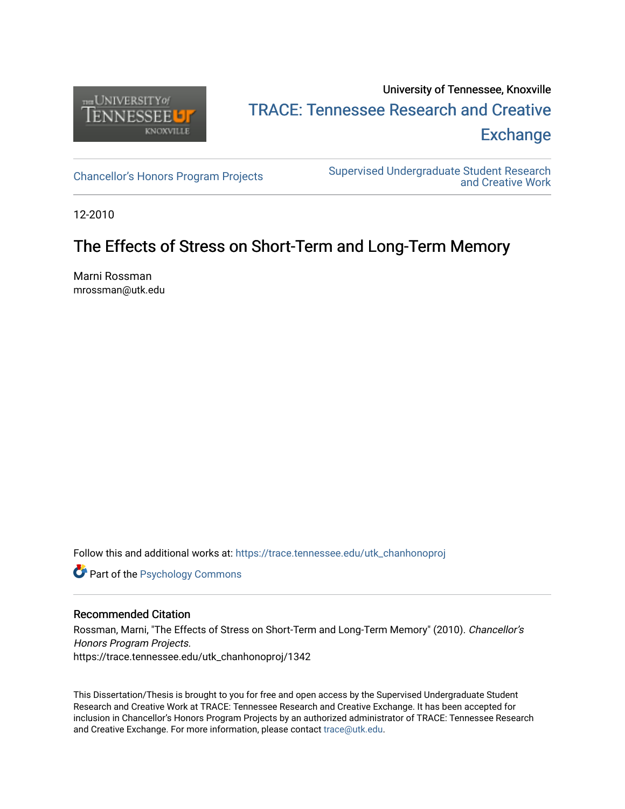

## University of Tennessee, Knoxville TRACE: T[ennessee Research and Cr](https://trace.tennessee.edu/)eative **Exchange**

[Chancellor's Honors Program Projects](https://trace.tennessee.edu/utk_chanhonoproj) Supervised Undergraduate Student Research [and Creative Work](https://trace.tennessee.edu/utk_supug) 

12-2010

### The Effects of Stress on Short-Term and Long-Term Memory

Marni Rossman mrossman@utk.edu

Follow this and additional works at: [https://trace.tennessee.edu/utk\\_chanhonoproj](https://trace.tennessee.edu/utk_chanhonoproj?utm_source=trace.tennessee.edu%2Futk_chanhonoproj%2F1342&utm_medium=PDF&utm_campaign=PDFCoverPages) 

**Part of the Psychology Commons** 

#### Recommended Citation

Rossman, Marni, "The Effects of Stress on Short-Term and Long-Term Memory" (2010). Chancellor's Honors Program Projects. https://trace.tennessee.edu/utk\_chanhonoproj/1342

This Dissertation/Thesis is brought to you for free and open access by the Supervised Undergraduate Student Research and Creative Work at TRACE: Tennessee Research and Creative Exchange. It has been accepted for inclusion in Chancellor's Honors Program Projects by an authorized administrator of TRACE: Tennessee Research and Creative Exchange. For more information, please contact [trace@utk.edu](mailto:trace@utk.edu).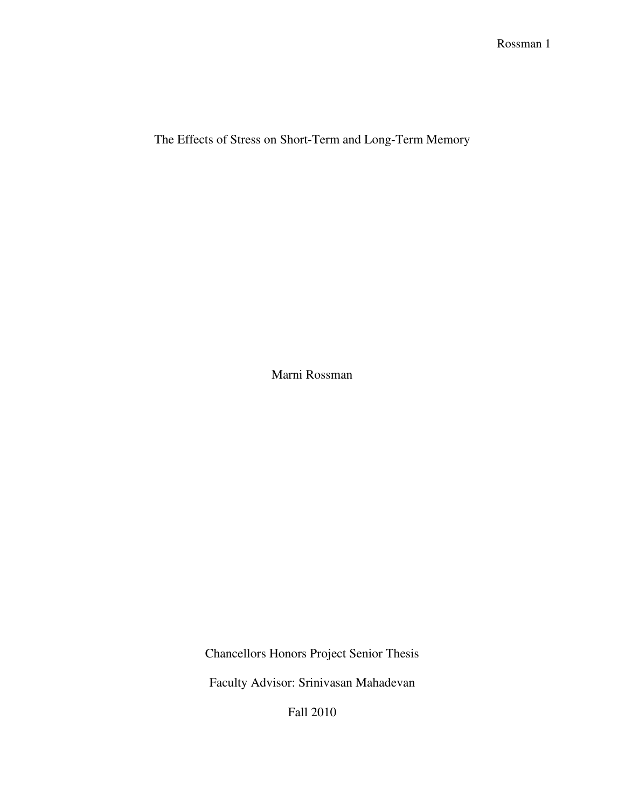The Effects of Stress on Short-Term and Long-Term Memory

Marni Rossman

Chancellors Honors Project Senior Thesis

Faculty Advisor: Srinivasan Mahadevan

Fall 2010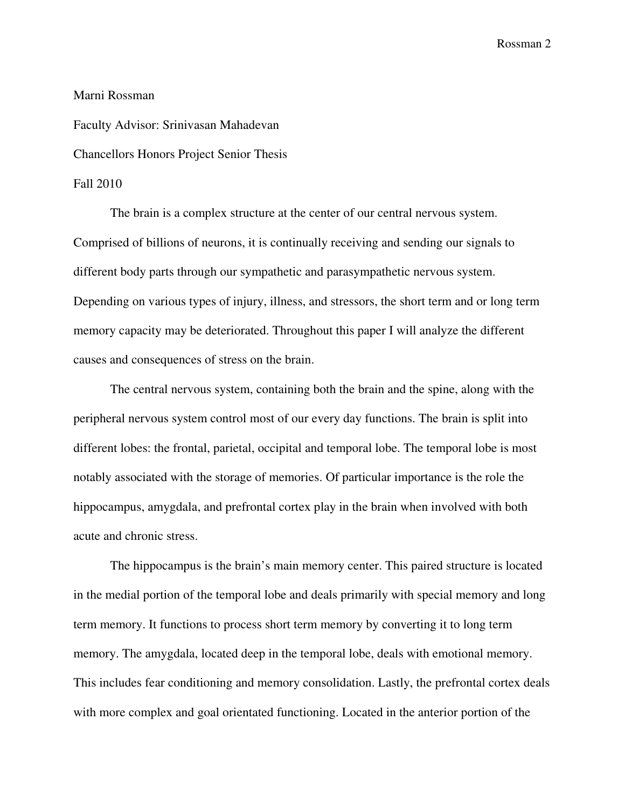# Marni Rossman Faculty Advisor: Srinivasan Mahadevan Chancellors Honors Project Senior Thesis Fall 2010

 The brain is a complex structure at the center of our central nervous system. Comprised of billions of neurons, it is continually receiving and sending our signals to different body parts through our sympathetic and parasympathetic nervous system. Depending on various types of injury, illness, and stressors, the short term and or long term memory capacity may be deteriorated. Throughout this paper I will analyze the different causes and consequences of stress on the brain.

The central nervous system, containing both the brain and the spine, along with the peripheral nervous system control most of our every day functions. The brain is split into different lobes: the frontal, parietal, occipital and temporal lobe. The temporal lobe is most notably associated with the storage of memories. Of particular importance is the role the hippocampus, amygdala, and prefrontal cortex play in the brain when involved with both acute and chronic stress.

The hippocampus is the brain's main memory center. This paired structure is located in the medial portion of the temporal lobe and deals primarily with special memory and long term memory. It functions to process short term memory by converting it to long term memory. The amygdala, located deep in the temporal lobe, deals with emotional memory. This includes fear conditioning and memory consolidation. Lastly, the prefrontal cortex deals with more complex and goal orientated functioning. Located in the anterior portion of the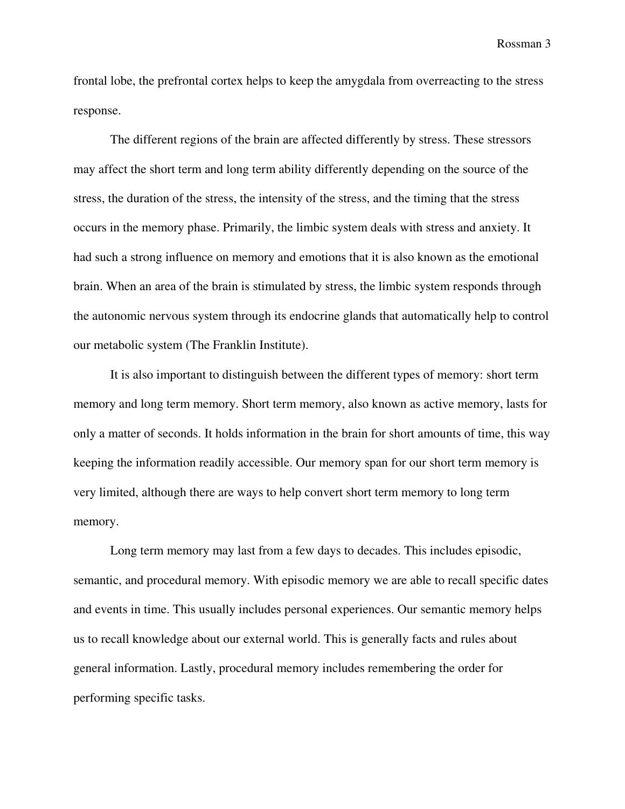frontal lobe, the prefrontal cortex helps to keep the amygdala from overreacting to the stress response.

The different regions of the brain are affected differently by stress. These stressors may affect the short term and long term ability differently depending on the source of the stress, the duration of the stress, the intensity of the stress, and the timing that the stress occurs in the memory phase. Primarily, the limbic system deals with stress and anxiety. It had such a strong influence on memory and emotions that it is also known as the emotional brain. When an area of the brain is stimulated by stress, the limbic system responds through the autonomic nervous system through its endocrine glands that automatically help to control our metabolic system (The Franklin Institute).

It is also important to distinguish between the different types of memory: short term memory and long term memory. Short term memory, also known as active memory, lasts for only a matter of seconds. It holds information in the brain for short amounts of time, this way keeping the information readily accessible. Our memory span for our short term memory is very limited, although there are ways to help convert short term memory to long term memory.

Long term memory may last from a few days to decades. This includes episodic, semantic, and procedural memory. With episodic memory we are able to recall specific dates and events in time. This usually includes personal experiences. Our semantic memory helps us to recall knowledge about our external world. This is generally facts and rules about general information. Lastly, procedural memory includes remembering the order for performing specific tasks.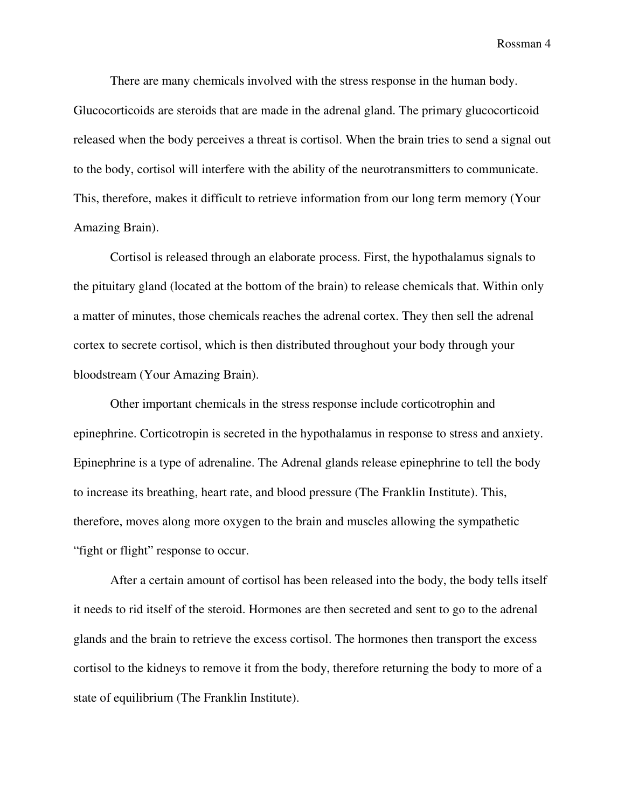There are many chemicals involved with the stress response in the human body. Glucocorticoids are steroids that are made in the adrenal gland. The primary glucocorticoid released when the body perceives a threat is cortisol. When the brain tries to send a signal out to the body, cortisol will interfere with the ability of the neurotransmitters to communicate. This, therefore, makes it difficult to retrieve information from our long term memory (Your Amazing Brain).

Cortisol is released through an elaborate process. First, the hypothalamus signals to the pituitary gland (located at the bottom of the brain) to release chemicals that. Within only a matter of minutes, those chemicals reaches the adrenal cortex. They then sell the adrenal cortex to secrete cortisol, which is then distributed throughout your body through your bloodstream (Your Amazing Brain).

Other important chemicals in the stress response include corticotrophin and epinephrine. Corticotropin is secreted in the hypothalamus in response to stress and anxiety. Epinephrine is a type of adrenaline. The Adrenal glands release epinephrine to tell the body to increase its breathing, heart rate, and blood pressure (The Franklin Institute). This, therefore, moves along more oxygen to the brain and muscles allowing the sympathetic "fight or flight" response to occur.

After a certain amount of cortisol has been released into the body, the body tells itself it needs to rid itself of the steroid. Hormones are then secreted and sent to go to the adrenal glands and the brain to retrieve the excess cortisol. The hormones then transport the excess cortisol to the kidneys to remove it from the body, therefore returning the body to more of a state of equilibrium (The Franklin Institute).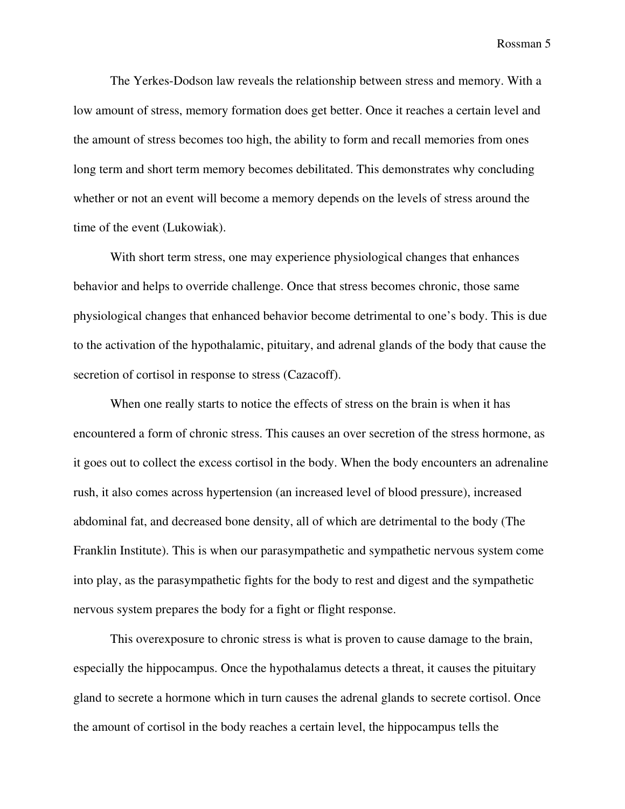The Yerkes-Dodson law reveals the relationship between stress and memory. With a low amount of stress, memory formation does get better. Once it reaches a certain level and the amount of stress becomes too high, the ability to form and recall memories from ones long term and short term memory becomes debilitated. This demonstrates why concluding whether or not an event will become a memory depends on the levels of stress around the time of the event (Lukowiak).

With short term stress, one may experience physiological changes that enhances behavior and helps to override challenge. Once that stress becomes chronic, those same physiological changes that enhanced behavior become detrimental to one's body. This is due to the activation of the hypothalamic, pituitary, and adrenal glands of the body that cause the secretion of cortisol in response to stress (Cazacoff).

When one really starts to notice the effects of stress on the brain is when it has encountered a form of chronic stress. This causes an over secretion of the stress hormone, as it goes out to collect the excess cortisol in the body. When the body encounters an adrenaline rush, it also comes across hypertension (an increased level of blood pressure), increased abdominal fat, and decreased bone density, all of which are detrimental to the body (The Franklin Institute). This is when our parasympathetic and sympathetic nervous system come into play, as the parasympathetic fights for the body to rest and digest and the sympathetic nervous system prepares the body for a fight or flight response.

This overexposure to chronic stress is what is proven to cause damage to the brain, especially the hippocampus. Once the hypothalamus detects a threat, it causes the pituitary gland to secrete a hormone which in turn causes the adrenal glands to secrete cortisol. Once the amount of cortisol in the body reaches a certain level, the hippocampus tells the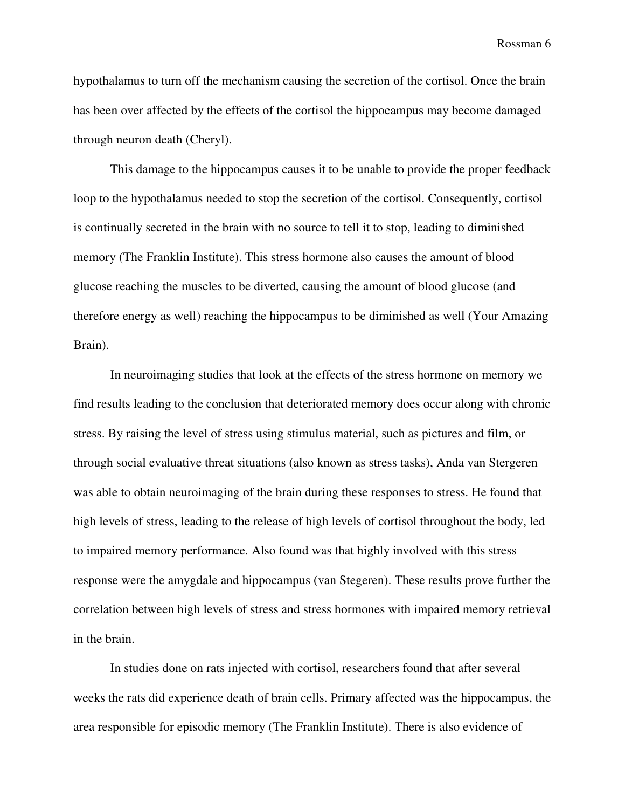hypothalamus to turn off the mechanism causing the secretion of the cortisol. Once the brain has been over affected by the effects of the cortisol the hippocampus may become damaged through neuron death (Cheryl).

This damage to the hippocampus causes it to be unable to provide the proper feedback loop to the hypothalamus needed to stop the secretion of the cortisol. Consequently, cortisol is continually secreted in the brain with no source to tell it to stop, leading to diminished memory (The Franklin Institute). This stress hormone also causes the amount of blood glucose reaching the muscles to be diverted, causing the amount of blood glucose (and therefore energy as well) reaching the hippocampus to be diminished as well (Your Amazing Brain).

In neuroimaging studies that look at the effects of the stress hormone on memory we find results leading to the conclusion that deteriorated memory does occur along with chronic stress. By raising the level of stress using stimulus material, such as pictures and film, or through social evaluative threat situations (also known as stress tasks), Anda van Stergeren was able to obtain neuroimaging of the brain during these responses to stress. He found that high levels of stress, leading to the release of high levels of cortisol throughout the body, led to impaired memory performance. Also found was that highly involved with this stress response were the amygdale and hippocampus (van Stegeren). These results prove further the correlation between high levels of stress and stress hormones with impaired memory retrieval in the brain.

In studies done on rats injected with cortisol, researchers found that after several weeks the rats did experience death of brain cells. Primary affected was the hippocampus, the area responsible for episodic memory (The Franklin Institute). There is also evidence of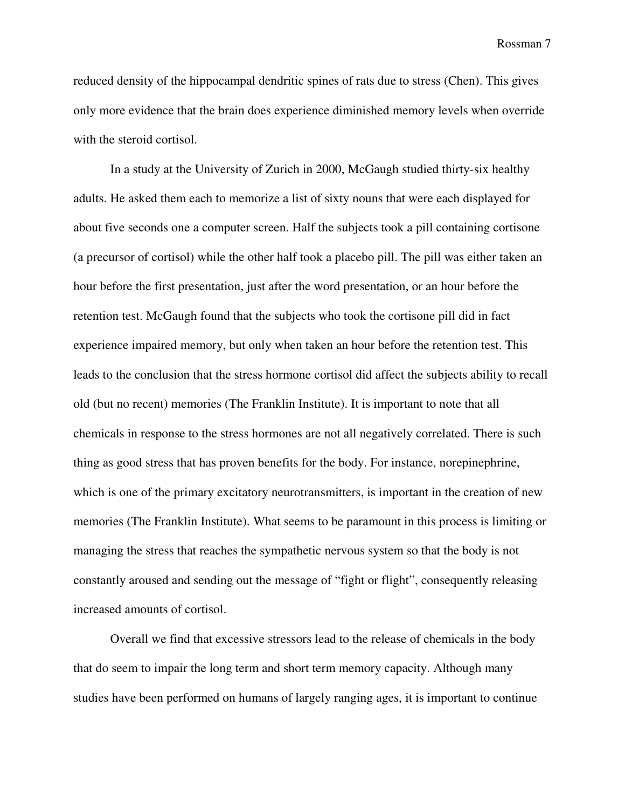reduced density of the hippocampal dendritic spines of rats due to stress (Chen). This gives only more evidence that the brain does experience diminished memory levels when override with the steroid cortisol.

In a study at the University of Zurich in 2000, McGaugh studied thirty-six healthy adults. He asked them each to memorize a list of sixty nouns that were each displayed for about five seconds one a computer screen. Half the subjects took a pill containing cortisone (a precursor of cortisol) while the other half took a placebo pill. The pill was either taken an hour before the first presentation, just after the word presentation, or an hour before the retention test. McGaugh found that the subjects who took the cortisone pill did in fact experience impaired memory, but only when taken an hour before the retention test. This leads to the conclusion that the stress hormone cortisol did affect the subjects ability to recall old (but no recent) memories (The Franklin Institute). It is important to note that all chemicals in response to the stress hormones are not all negatively correlated. There is such thing as good stress that has proven benefits for the body. For instance, norepinephrine, which is one of the primary excitatory neurotransmitters, is important in the creation of new memories (The Franklin Institute). What seems to be paramount in this process is limiting or managing the stress that reaches the sympathetic nervous system so that the body is not constantly aroused and sending out the message of "fight or flight", consequently releasing increased amounts of cortisol.

Overall we find that excessive stressors lead to the release of chemicals in the body that do seem to impair the long term and short term memory capacity. Although many studies have been performed on humans of largely ranging ages, it is important to continue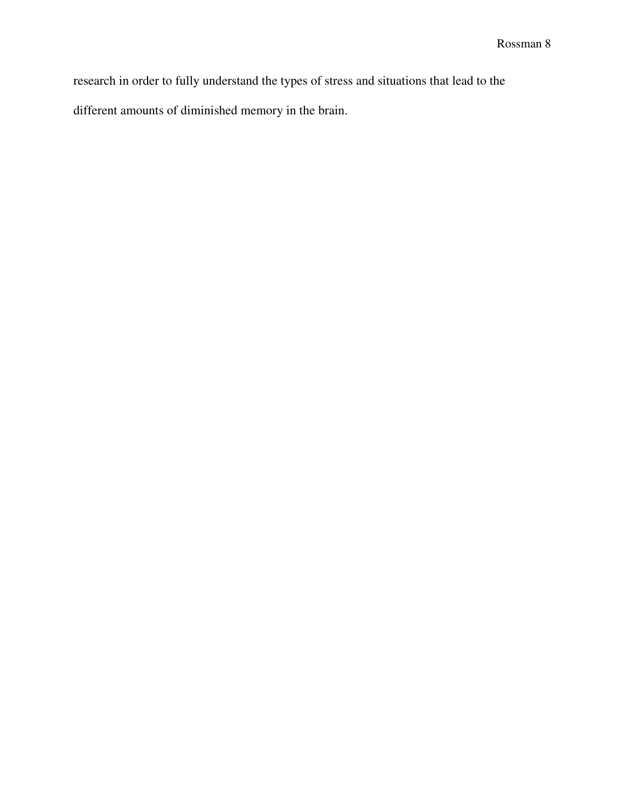research in order to fully understand the types of stress and situations that lead to the different amounts of diminished memory in the brain.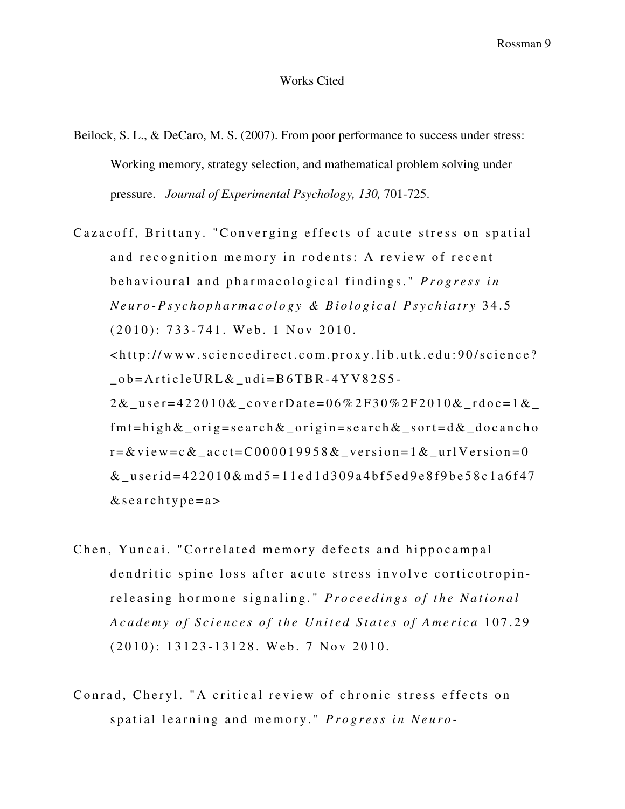#### Works Cited

- Beilock, S. L., & DeCaro, M. S. (2007). From poor performance to success under stress: Working memory, strategy selection, and mathematical problem solving under pressure. *Journal of Experimental Psychology, 130,* 701-725.
- Cazacoff, Brittany. "Converging effects of acute stress on spatial and recognition memory in rodents: A review of recent behavioural and pharmacological findings." *Progress in N e u r o - P s y c h o p h a r m a c o l o g y & B i o l o g i c a l P s y c h i a t r y* 3 4 . 5  $(2010)$ : 733-741. Web. 1 Nov 2010.  $\lt$ http://www.sciencedirect.com.proxy.lib.utk.edu:90/science?  $\_\text{o}$  = A r t i c l e U R L &  $\_\text{ud}$  i = B 6 T B R - 4 Y V 8 2 S 5 - $2 & \text{``user=422010\&\_cover\,Date=06\%2F30\%2F2010\&\_r\,doc=1\&\_$  $fmt = high & or ig = search & or ig = search & sort = d & docancho$  $r = &$  view=c  $&$  \_acct=C000019958  $&$  \_version=1  $&$  \_urlVersion=0  $&$  userid=422010 $&$ md 5=11 ed 1d 309a 4 b f 5 ed 9 e 8f 9 b e 58 c 1 a 6f 47  $&$  searchtype=a>
- Chen, Yuncai. "Correlated memory defects and hippocampal dendritic spine loss after acute stress involve corticotropinreleasing hormone signaling." *Proceedings of the National A c a d e my of Sciences of the United States of America* 107.29  $(2010)$ : 13123-13128. Web. 7 Nov 2010.
- Conrad, Cheryl. "A critical review of chronic stress effects on spatial learning and memory." *Progress in Neuro-*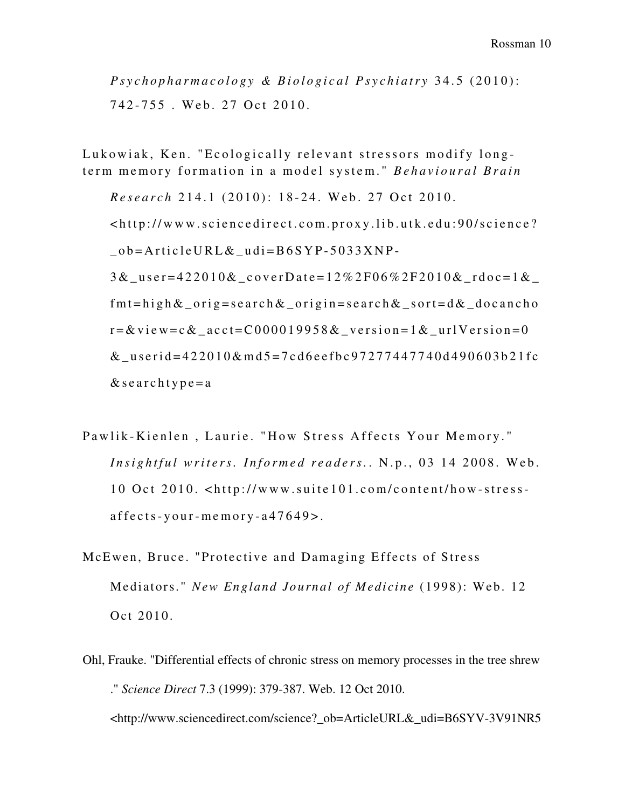*P s y c h o p h a r m a c o l o g y & B i o l o g i c a l P s y c h i a t r y* 3 4 . 5 ( 2 0 1 0 ) : 742-755. Web. 27 Oct 2010.

Lukowiak, Ken. "Ecologically relevant stressors modify longterm memory formation in a model system." Behavioural Brain

*Research* 214.1 (2010): 18-24. Web. 27 Oct 2010.  $\lt$ http://www.sciencedirect.com.proxy.lib.utk.edu:90/science?  $_ ob = Article URL & _ u di = B6 SYP-5033 XNP-$ 3 & \_u s e r = 4 2 2 0 1 0 & \_c o v e r D a t e = 1 2 % 2 F 0 6 % 2 F 2 0 1 0 & \_r d o c = 1 & \_  $fmt = high & or ig = search & or ig = search & sort = d & docancho$  $r = \& v$  i e w = c  $\&$  \_a c c t = C 0 0 0 0 1 9 9 5 8  $\&$  \_v e r s i o n = 1  $\&$  \_u r l V e r s i o n = 0 & userid= $422010\&m\text{m}d5=7\text{cd}6\text{ee}f\text{bc}97277447740\text{d}490603\text{b}21\text{fc}$  $&$  searchtype = a

- Pawlik-Kienlen, Laurie. "How Stress Affects Your Memory." *Insightful writers. Informed readers.* N.p., 03 14 2008. Web. 10 Oct 2010. <http://www.suite101.com/content/how-stress $a$  f f e c t s - y o u r - m e m o r y -  $a$  47649 >.
- McEwen, Bruce. "Protective and Damaging Effects of Stress Mediators." *New England Journal of Medicine* (1998): Web. 12 Oct 2010.
- Ohl, Frauke. "Differential effects of chronic stress on memory processes in the tree shrew ." *Science Direct* 7.3 (1999): 379-387. Web. 12 Oct 2010. <http://www.sciencedirect.com/science?\_ob=ArticleURL&\_udi=B6SYV-3V91NR5